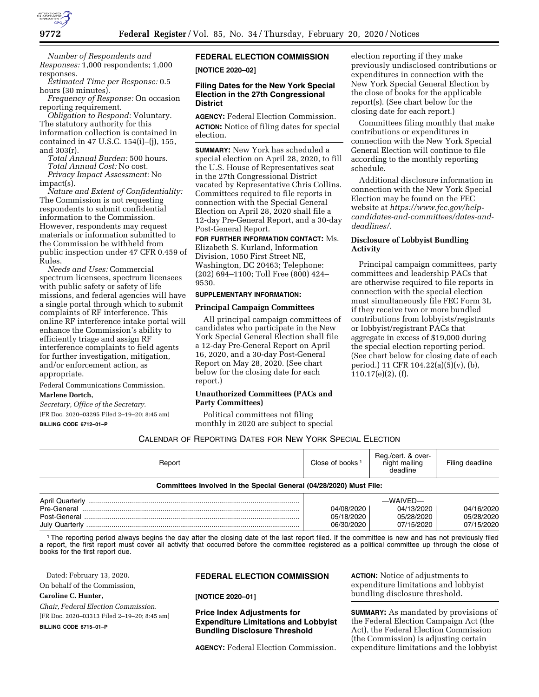

*Number of Respondents and Responses:* 1,000 respondents; 1,000 responses.

*Estimated Time per Response:* 0.5 hours (30 minutes).

*Frequency of Response:* On occasion reporting requirement.

*Obligation to Respond:* Voluntary. The statutory authority for this information collection is contained in contained in 47 U.S.C. 154(i)–(j), 155, and 303(r).

*Total Annual Burden:* 500 hours. *Total Annual Cost:* No cost.

*Privacy Impact Assessment:* No impact(s).

*Nature and Extent of Confidentiality:*  The Commission is not requesting respondents to submit confidential information to the Commission. However, respondents may request materials or information submitted to the Commission be withheld from public inspection under 47 CFR 0.459 of Rules.

*Needs and Uses:* Commercial spectrum licensees, spectrum licensees with public safety or safety of life missions, and federal agencies will have a single portal through which to submit complaints of RF interference. This online RF interference intake portal will enhance the Commission's ability to efficiently triage and assign RF interference complaints to field agents for further investigation, mitigation, and/or enforcement action, as appropriate.

Federal Communications Commission. **Marlene Dortch,** 

*Secretary, Office of the Secretary.*  [FR Doc. 2020–03295 Filed 2–19–20; 8:45 am] **BILLING CODE 6712–01–P** 

# **FEDERAL ELECTION COMMISSION [NOTICE 2020–02]**

# **Filing Dates for the New York Special Election in the 27th Congressional District**

**AGENCY:** Federal Election Commission. **ACTION:** Notice of filing dates for special election.

**SUMMARY:** New York has scheduled a special election on April 28, 2020, to fill the U.S. House of Representatives seat in the 27th Congressional District vacated by Representative Chris Collins. Committees required to file reports in connection with the Special General Election on April 28, 2020 shall file a 12-day Pre-General Report, and a 30-day Post-General Report.

**FOR FURTHER INFORMATION CONTACT:** Ms. Elizabeth S. Kurland, Information Division, 1050 First Street NE, Washington, DC 20463; Telephone:

(202) 694–1100; Toll Free (800) 424– 9530.

# **SUPPLEMENTARY INFORMATION:**

## **Principal Campaign Committees**

All principal campaign committees of candidates who participate in the New York Special General Election shall file a 12-day Pre-General Report on April 16, 2020, and a 30-day Post-General Report on May 28, 2020. (See chart below for the closing date for each report.)

# **Unauthorized Committees (PACs and Party Committees)**

Political committees not filing monthly in 2020 are subject to special

election reporting if they make previously undisclosed contributions or expenditures in connection with the New York Special General Election by the close of books for the applicable report(s). (See chart below for the closing date for each report.)

Committees filing monthly that make contributions or expenditures in connection with the New York Special General Election will continue to file according to the monthly reporting schedule.

Additional disclosure information in connection with the New York Special Election may be found on the FEC website at *[https://www.fec.gov/help](https://www.fec.gov/help-candidates-and-committees/dates-and-deadlines/)[candidates-and-committees/dates-and](https://www.fec.gov/help-candidates-and-committees/dates-and-deadlines/)[deadlines/.](https://www.fec.gov/help-candidates-and-committees/dates-and-deadlines/)* 

# **Disclosure of Lobbyist Bundling Activity**

Principal campaign committees, party committees and leadership PACs that are otherwise required to file reports in connection with the special election must simultaneously file FEC Form 3L if they receive two or more bundled contributions from lobbyists/registrants or lobbyist/registrant PACs that aggregate in excess of \$19,000 during the special election reporting period. (See chart below for closing date of each period.) 11 CFR 104.22(a)(5)(v), (b), 110.17(e)(2), (f).

CALENDAR OF REPORTING DATES FOR NEW YORK SPECIAL ELECTION

| Committees Involved in the Special General (04/28/2020) Must File: |                    |                                                 |                 |
|--------------------------------------------------------------------|--------------------|-------------------------------------------------|-----------------|
| Report                                                             | Close of books $1$ | Reg./cert. & over-<br>night mailing<br>deadline | Filing deadline |

| <b>April Quarterly</b> | —WAIVED—   |            |            |
|------------------------|------------|------------|------------|
| Pre-General            | 04/08/2020 | 04/13/2020 | 04/16/2020 |
| Post-General           | 05/18/2020 | 05/28/2020 | 05/28/2020 |
| July Quarterly         | 06/30/2020 | 07/15/2020 | 07/15/2020 |

<sup>1</sup>The reporting period always begins the day after the closing date of the last report filed. If the committee is new and has not previously filed a report, the first report must cover all activity that occurred before the committee registered as a political committee up through the close of books for the first report due.

Dated: February 13, 2020.

On behalf of the Commission,

**Caroline C. Hunter,** 

*Chair, Federal Election Commission.*  [FR Doc. 2020–03313 Filed 2–19–20; 8:45 am]

**BILLING CODE 6715–01–P** 

# **FEDERAL ELECTION COMMISSION**

**[NOTICE 2020–01]** 

# **Price Index Adjustments for Expenditure Limitations and Lobbyist Bundling Disclosure Threshold**

**AGENCY:** Federal Election Commission.

**ACTION:** Notice of adjustments to expenditure limitations and lobbyist bundling disclosure threshold.

**SUMMARY:** As mandated by provisions of the Federal Election Campaign Act (the Act), the Federal Election Commission (the Commission) is adjusting certain expenditure limitations and the lobbyist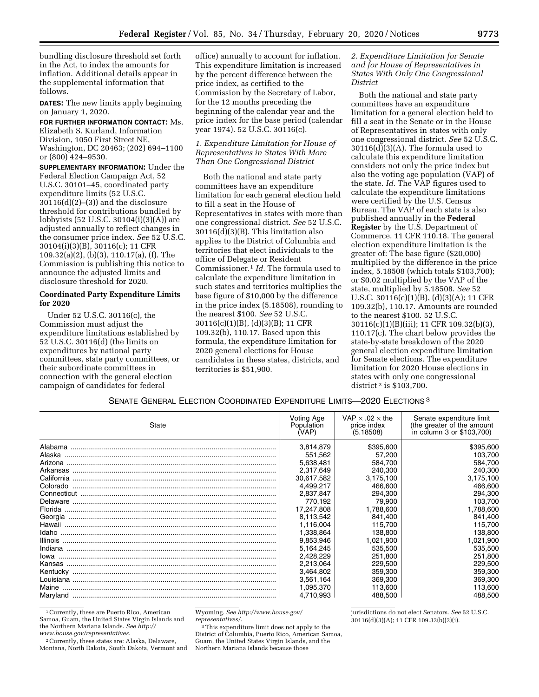bundling disclosure threshold set forth in the Act, to index the amounts for inflation. Additional details appear in the supplemental information that follows.

**DATES:** The new limits apply beginning on January 1, 2020.

**FOR FURTHER INFORMATION CONTACT:** Ms. Elizabeth S. Kurland, Information Division, 1050 First Street NE, Washington, DC 20463; (202) 694–1100 or (800) 424–9530.

**SUPPLEMENTARY INFORMATION:** Under the Federal Election Campaign Act, 52 U.S.C. 30101–45, coordinated party expenditure limits (52 U.S.C.  $30116(d)(2)–(3)$ ) and the disclosure threshold for contributions bundled by lobbyists (52 U.S.C. 30104(i)(3)(A)) are adjusted annually to reflect changes in the consumer price index. *See* 52 U.S.C. 30104(i)(3)(B), 30116(c); 11 CFR 109.32(a)(2), (b)(3), 110.17(a), (f). The Commission is publishing this notice to announce the adjusted limits and disclosure threshold for 2020.

# **Coordinated Party Expenditure Limits for 2020**

Under 52 U.S.C. 30116(c), the Commission must adjust the expenditure limitations established by 52 U.S.C. 30116(d) (the limits on expenditures by national party committees, state party committees, or their subordinate committees in connection with the general election campaign of candidates for federal

office) annually to account for inflation. This expenditure limitation is increased by the percent difference between the price index, as certified to the Commission by the Secretary of Labor, for the 12 months preceding the beginning of the calendar year and the price index for the base period (calendar year 1974). 52 U.S.C. 30116(c).

# *1. Expenditure Limitation for House of Representatives in States With More Than One Congressional District*

Both the national and state party committees have an expenditure limitation for each general election held to fill a seat in the House of Representatives in states with more than one congressional district. *See* 52 U.S.C. 30116(d)(3)(B). This limitation also applies to the District of Columbia and territories that elect individuals to the office of Delegate or Resident Commissioner.1 *Id.* The formula used to calculate the expenditure limitation in such states and territories multiplies the base figure of \$10,000 by the difference in the price index (5.18508), rounding to the nearest \$100. *See* 52 U.S.C. 30116(c)(1)(B), (d)(3)(B); 11 CFR 109.32(b), 110.17. Based upon this formula, the expenditure limitation for 2020 general elections for House candidates in these states, districts, and territories is \$51,900.

# *2. Expenditure Limitation for Senate and for House of Representatives in States With Only One Congressional District*

Both the national and state party committees have an expenditure limitation for a general election held to fill a seat in the Senate or in the House of Representatives in states with only one congressional district. *See* 52 U.S.C. 30116(d)(3)(A). The formula used to calculate this expenditure limitation considers not only the price index but also the voting age population (VAP) of the state. *Id.* The VAP figures used to calculate the expenditure limitations were certified by the U.S. Census Bureau. The VAP of each state is also published annually in the **Federal Register** by the U.S. Department of Commerce. 11 CFR 110.18. The general election expenditure limitation is the greater of: The base figure (\$20,000) multiplied by the difference in the price index, 5.18508 (which totals \$103,700); or \$0.02 multiplied by the VAP of the state, multiplied by 5.18508. *See* 52 U.S.C. 30116(c)(1)(B), (d)(3)(A); 11 CFR 109.32(b), 110.17. Amounts are rounded to the nearest \$100. 52 U.S.C. 30116(c)(1)(B)(iii); 11 CFR 109.32(b)(3), 110.17(c). The chart below provides the state-by-state breakdown of the 2020 general election expenditure limitation for Senate elections. The expenditure limitation for 2020 House elections in states with only one congressional district 2 is \$103,700.

# SENATE GENERAL ELECTION COORDINATED EXPENDITURE LIMITS—2020 ELECTIONS 3

| State | Voting Age<br>Population<br>(VAP) | VAP $\times$ .02 $\times$ the<br>price index<br>(5.18508) | Senate expenditure limit<br>(the greater of the amount<br>in column 3 or \$103,700) |
|-------|-----------------------------------|-----------------------------------------------------------|-------------------------------------------------------------------------------------|
|       | 3,814,879                         | \$395,600                                                 | \$395,600                                                                           |
|       | 551,562                           | 57,200                                                    | 103,700                                                                             |
|       | 5,638,481                         | 584,700                                                   | 584,700                                                                             |
|       | 2,317,649                         | 240,300                                                   | 240,300                                                                             |
|       | 30,617,582                        | 3,175,100                                                 | 3,175,100                                                                           |
|       | 4,499,217                         | 466,600                                                   | 466,600                                                                             |
|       | 2,837,847                         | 294,300                                                   | 294,300                                                                             |
|       | 770.192                           | 79,900                                                    | 103,700                                                                             |
|       | 17,247,808                        | 1,788,600                                                 | 1,788,600                                                                           |
|       | 8,113,542                         | 841,400                                                   | 841,400                                                                             |
|       | 1,116,004                         | 115,700                                                   | 115,700                                                                             |
|       | 1.338.864                         | 138.800                                                   | 138,800                                                                             |
|       | 9,853,946                         | 1,021,900                                                 | 1,021,900                                                                           |
|       | 5,164,245                         | 535,500                                                   | 535,500                                                                             |
|       | 2.428.229                         | 251.800                                                   | 251.800                                                                             |
|       | 2.213.064                         | 229,500                                                   | 229,500                                                                             |
|       | 3.464.802                         | 359,300                                                   | 359,300                                                                             |
|       | 3,561,164                         | 369.300                                                   | 369.300                                                                             |
| Maine | 1,095,370                         | 113,600                                                   | 113,600                                                                             |
|       | 4.710.993                         | 488,500                                                   | 488,500                                                                             |

1Currently, these are Puerto Rico, American Samoa, Guam, the United States Virgin Islands and the Northern Mariana Islands. *See [http://](http://www.house.gov/representatives) [www.house.gov/representatives.](http://www.house.gov/representatives)* 

2Currently, these states are: Alaska, Delaware, Montana, North Dakota, South Dakota, Vermont and Wyoming. *See [http://www.house.gov/](http://www.house.gov/representatives/) [representatives/.](http://www.house.gov/representatives/)* 

3This expenditure limit does not apply to the District of Columbia, Puerto Rico, American Samoa, Guam, the United States Virgin Islands, and the Northern Mariana Islands because those

jurisdictions do not elect Senators. *See* 52 U.S.C. 30116(d)(3)(A); 11 CFR 109.32(b)(2)(i).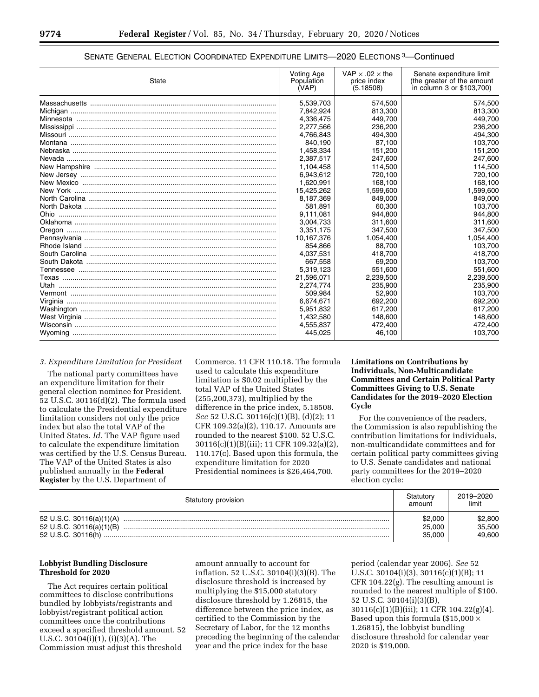| State | Voting Age<br>Population<br>(VAP) | VAP $\times$ .02 $\times$ the<br>price index<br>(5.18508) | Senate expenditure limit<br>(the greater of the amount<br>in column 3 or \$103,700) |  |
|-------|-----------------------------------|-----------------------------------------------------------|-------------------------------------------------------------------------------------|--|
|       | 5,539,703                         | 574,500                                                   | 574,500                                                                             |  |
|       | 7.842.924                         | 813,300                                                   | 813,300                                                                             |  |
|       | 4.336.475                         | 449.700                                                   | 449.700                                                                             |  |
|       | 2,277,566                         | 236,200                                                   | 236,200                                                                             |  |
|       | 4.766.843                         | 494,300                                                   | 494,300                                                                             |  |
|       | 840.190                           | 87,100                                                    | 103,700                                                                             |  |
|       | 1.458.334                         | 151.200                                                   | 151,200                                                                             |  |
|       | 2,387,517                         | 247,600                                                   | 247,600                                                                             |  |
|       | 1,104,458                         | 114,500                                                   | 114,500                                                                             |  |
|       | 6,943,612                         | 720,100                                                   | 720,100                                                                             |  |
|       | 1,620,991                         | 168,100                                                   | 168,100                                                                             |  |
|       | 15,425,262                        | 1,599,600                                                 | 1,599,600                                                                           |  |
|       | 8,187,369                         | 849,000                                                   | 849,000                                                                             |  |
|       | 581.891                           | 60.300                                                    | 103.700                                                                             |  |
|       | 9,111,081                         | 944,800                                                   | 944,800                                                                             |  |
|       | 3,004,733                         | 311,600                                                   | 311,600                                                                             |  |
|       | 3,351,175                         | 347,500                                                   | 347,500                                                                             |  |
|       | 10,167,376                        | 1,054,400                                                 | 1,054,400                                                                           |  |
|       | 854.866                           | 88.700                                                    | 103,700                                                                             |  |
|       | 4,037,531                         | 418.700                                                   | 418,700                                                                             |  |
|       | 667.558                           | 69,200                                                    | 103,700                                                                             |  |
|       | 5,319,123                         | 551,600                                                   | 551,600                                                                             |  |
|       | 21,596,071                        | 2,239,500                                                 | 2,239,500                                                                           |  |
|       | 2.274.774                         | 235,900                                                   | 235.900                                                                             |  |
|       | 509.984                           | 52,900                                                    | 103.700                                                                             |  |
|       | 6,674,671                         | 692,200                                                   | 692,200                                                                             |  |
|       | 5,951,832                         | 617,200                                                   | 617,200                                                                             |  |
|       | 1,432,580                         | 148,600                                                   | 148,600                                                                             |  |
|       | 4,555,837                         | 472,400                                                   | 472,400                                                                             |  |
|       | 445,025                           | 46,100                                                    | 103,700                                                                             |  |

# SENATE GENERAL ELECTION COORDINATED EXPENDITURE LIMITS—2020 ELECTIONS 3—Continued

# *3. Expenditure Limitation for President*

The national party committees have an expenditure limitation for their general election nominee for President. 52 U.S.C. 30116(d)(2). The formula used to calculate the Presidential expenditure limitation considers not only the price index but also the total VAP of the United States. *Id.* The VAP figure used to calculate the expenditure limitation was certified by the U.S. Census Bureau. The VAP of the United States is also published annually in the **Federal Register** by the U.S. Department of

Commerce. 11 CFR 110.18. The formula used to calculate this expenditure limitation is \$0.02 multiplied by the total VAP of the United States (255,200,373), multiplied by the difference in the price index, 5.18508. *See* 52 U.S.C. 30116(c)(1)(B), (d)(2); 11 CFR 109.32(a)(2), 110.17. Amounts are rounded to the nearest \$100. 52 U.S.C. 30116(c)(1)(B)(iii); 11 CFR 109.32(a)(2), 110.17(c). Based upon this formula, the expenditure limitation for 2020 Presidential nominees is \$26,464,700.

# **Limitations on Contributions by Individuals, Non-Multicandidate Committees and Certain Political Party Committees Giving to U.S. Senate Candidates for the 2019–2020 Election Cycle**

For the convenience of the readers, the Commission is also republishing the contribution limitations for individuals, non-multicandidate committees and for certain political party committees giving to U.S. Senate candidates and national party committees for the 2019–2020 election cycle:

| Statutory provision                                  | Statutorv<br>amount         | 2019-2020<br>limit          |
|------------------------------------------------------|-----------------------------|-----------------------------|
| 52 U.S.C. 30116(a)(1)(A)<br>52 U.S.C. 30116(a)(1)(B) | \$2,000<br>25,000<br>35.000 | \$2,800<br>35,500<br>49,600 |

## **Lobbyist Bundling Disclosure Threshold for 2020**

The Act requires certain political committees to disclose contributions bundled by lobbyists/registrants and lobbyist/registrant political action committees once the contributions exceed a specified threshold amount. 52 U.S.C. 30104(i)(1), (i)(3)(A). The Commission must adjust this threshold

amount annually to account for inflation. 52 U.S.C. 30104(i)(3)(B). The disclosure threshold is increased by multiplying the \$15,000 statutory disclosure threshold by 1.26815, the difference between the price index, as certified to the Commission by the Secretary of Labor, for the 12 months preceding the beginning of the calendar year and the price index for the base

period (calendar year 2006). *See* 52 U.S.C. 30104(i)(3), 30116(c)(1)(B); 11 CFR 104.22(g). The resulting amount is rounded to the nearest multiple of \$100. 52 U.S.C. 30104(i)(3)(B), 30116(c)(1)(B)(iii); 11 CFR 104.22(g)(4). Based upon this formula (\$15,000  $\times$ 1.26815), the lobbyist bundling disclosure threshold for calendar year 2020 is \$19,000.